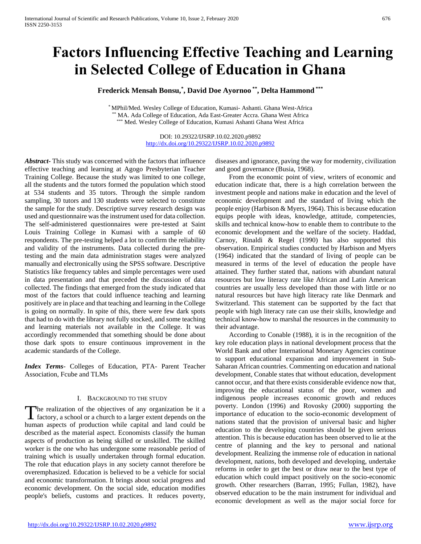# **Factors Influencing Effective Teaching and Learning in Selected College of Education in Ghana**

**Frederick Mensah Bonsu,\* , David Doe Ayornoo \*\* , Delta Hammond \*\*\***

\* MPhil/Med. Wesley College of Education, Kumasi- Ashanti. Ghana West-Africa MA. Ada College of Education, Ada East-Greater Accra. Ghana West Africa \* Med. Wesley College of Education, Kumasi Ashanti Ghana West Africa

> DOI: 10.29322/IJSRP.10.02.2020.p9892 <http://dx.doi.org/10.29322/IJSRP.10.02.2020.p9892>

*Abstract***-** This study was concerned with the factors that influence effective teaching and learning at Agogo Presbyterian Teacher Training College. Because the study was limited to one college, all the students and the tutors formed the population which stood at 534 students and 35 tutors. Through the simple random sampling, 30 tutors and 130 students were selected to constitute the sample for the study. Descriptive survey research design was used and questionnaire was the instrument used for data collection. The self-administered questionnaires were pre-tested at Saint Louis Training College in Kumasi with a sample of 60 respondents. The pre-testing helped a lot to confirm the reliability and validity of the instruments. Data collected during the pretesting and the main data administration stages were analyzed manually and electronically using the SPSS software. Descriptive Statistics like frequency tables and simple percentages were used in data presentation and that preceded the discussion of data collected. The findings that emerged from the study indicated that most of the factors that could influence teaching and learning positively are in place and that teaching and learning in the College is going on normally. In spite of this, there were few dark spots that had to do with the library not fully stocked, and some teaching and learning materials not available in the College. It was accordingly recommended that something should be done about those dark spots to ensure continuous improvement in the academic standards of the College.

*Index Terms*- Colleges of Education, PTA- Parent Teacher Association, Fcube and TLMs

## I. BACKGROUND TO THE STUDY

The realization of the objectives of any organization be it a The realization of the objectives of any organization be it a factory, a school or a church to a larger extent depends on the human aspects of production while capital and land could be described as the material aspect. Economists classify the human aspects of production as being skilled or unskilled. The skilled worker is the one who has undergone some reasonable period of training which is usually undertaken through formal education. The role that education plays in any society cannot therefore be overemphasized. Education is believed to be a vehicle for social and economic transformation. It brings about social progress and economic development. On the social side, education modifies people's beliefs, customs and practices. It reduces poverty,

diseases and ignorance, paving the way for modernity, civilization and good governance (Busia, 1968).

 From the economic point of view, writers of economic and education indicate that, there is a high correlation between the investment people and nations make in education and the level of economic development and the standard of living which the people enjoy (Harbison & Myers, 1964). This is because education equips people with ideas, knowledge, attitude, competencies, skills and technical know-how to enable them to contribute to the economic development and the welfare of the society. Haddad, Carnoy, Rinaldi & Regel (1990) has also supported this observation. Empirical studies conducted by Harbison and Myers (1964) indicated that the standard of living of people can be measured in terms of the level of education the people have attained. They further stated that, nations with abundant natural resources but low literacy rate like African and Latin American countries are usually less developed than those with little or no natural resources but have high literacy rate like Denmark and Switzerland. This statement can be supported by the fact that people with high literacy rate can use their skills, knowledge and technical know-how to marshal the resources in the community to their advantage.

 According to Conable (1988), it is in the recognition of the key role education plays in national development process that the World Bank and other International Monetary Agencies continue to support educational expansion and improvement in Sub-Saharan African countries. Commenting on education and national development, Conable states that without education, development cannot occur, and that there exists considerable evidence now that, improving the educational status of the poor, women and indigenous people increases economic growth and reduces poverty. London (1996) and Rovosky (2000) supporting the importance of education to the socio-economic development of nations stated that the provision of universal basic and higher education to the developing countries should be given serious attention. This is because education has been observed to lie at the centre of planning and the key to personal and national development. Realizing the immense role of education in national development, nations, both developed and developing, undertake reforms in order to get the best or draw near to the best type of education which could impact positively on the socio-economic growth. Other researchers (Barran, 1995; Fullan, 1982), have observed education to be the main instrument for individual and economic development as well as the major social force for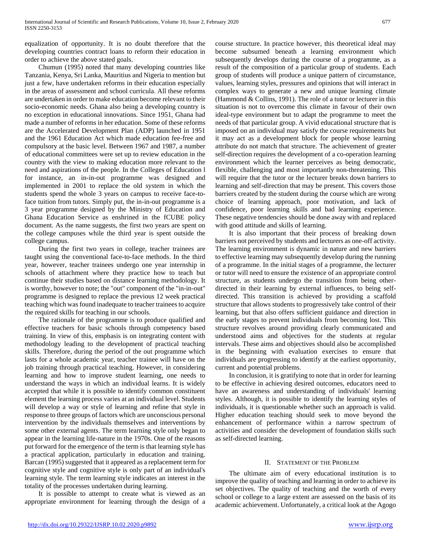equalization of opportunity. It is no doubt therefore that the developing countries contract loans to reform their education in order to achieve the above stated goals.

 Chumun (1995) noted that many developing countries like Tanzania, Kenya, Sri Lanka, Mauritius and Nigeria to mention but just a few, have undertaken reforms in their education especially in the areas of assessment and school curricula. All these reforms are undertaken in order to make education become relevant to their socio-economic needs. Ghana also being a developing country is no exception in educational innovations. Since 1951, Ghana had made a number of reforms in her education. Some of these reforms are the Accelerated Development Plan (ADP) launched in 1951 and the 1961 Education Act which made education fee-free and compulsory at the basic level. Between 1967 and 1987, a number of educational committees were set up to review education in the country with the view to making education more relevant to the need and aspirations of the people. In the Colleges of Education l for instance, an in-in-out programme was designed and implemented in 2001 to replace the old system in which the students spend the whole 3 years on campus to receive face-toface tuition from tutors. Simply put, the in-in-out programme is a 3 year programme designed by the Ministry of Education and Ghana Education Service as enshrined in the fCUBE policy document. As the name suggests, the first two years are spent on the college campuses while the third year is spent outside the college campus.

 During the first two years in college, teacher trainees are taught using the conventional face-to-face methods. In the third year, however, teacher trainees undergo one year internship in schools of attachment where they practice how to teach but continue their studies based on distance learning methodology. It is worthy, however to note; the "out" component of the "in-in-out" programme is designed to replace the previous 12 week practical teaching which was found inadequate to teacher trainees to acquire the required skills for teaching in our schools.

 The rationale of the programme is to produce qualified and effective teachers for basic schools through competency based training. In view of this, emphasis is on integrating content with methodology leading to the development of practical teaching skills. Therefore, during the period of the out programme which lasts for a whole academic year, teacher trainee will have on the job training through practical teaching. However, in considering learning and how to improve student learning, one needs to understand the ways in which an individual learns. It is widely accepted that while it is possible to identify common constituent element the learning process varies at an individual level. Students will develop a way or style of learning and refine that style in response to three groups of factors which are unconscious personal intervention by the individuals themselves and interventions by some other external agents. The term learning style only began to appear in the learning life-nature in the 1970s. One of the reasons put forward for the emergence of the term is that learning style has a practical application, particularly in education and training. Barcan (1995) suggested that it appeared as a replacement term for cognitive style and cognitive style is only part of an individual's learning style. The term learning style indicates an interest in the totality of the processes undertaken during learning.

 It is possible to attempt to create what is viewed as an appropriate environment for learning through the design of a course structure. In practice however, this theoretical ideal may become subsumed beneath a learning environment which subsequently develops during the course of a programme, as a result of the composition of a particular group of students. Each group of students will produce a unique pattern of circumstance, values, learning styles, pressures and opinions that will interact in complex ways to generate a new and unique learning climate (Hammond & Collins, 1991). The role of a tutor or lecturer in this situation is not to overcome this climate in favour of their own ideal-type environment but to adapt the programme to meet the needs of that particular group. A vivid educational structure that is imposed on an individual may satisfy the course requirements but it may act as a development block for people whose learning attribute do not match that structure. The achievement of greater self-direction requires the development of a co-operation learning environment which the learner perceives as being democratic, flexible, challenging and most importantly non-threatening. This will require that the tutor or the lecturer breaks down barriers to learning and self-direction that may be present. This covers those barriers created by the student during the course which are wrong choice of learning approach, poor motivation, and lack of confidence, poor learning skills and bad learning experience. These negative tendencies should be done away with and replaced with good attitude and skills of learning.

 It is also important that their process of breaking down barriers not perceived by students and lecturers as one-off activity. The learning environment is dynamic in nature and new barriers to effective learning may subsequently develop during the running of a programme. In the initial stages of a programme, the lecturer or tutor will need to ensure the existence of an appropriate control structure, as students undergo the transition from being otherdirected in their learning by external influences, to being selfdirected. This transition is achieved by providing a scaffold structure that allows students to progressively take control of their learning, but that also offers sufficient guidance and direction in the early stages to prevent individuals from becoming lost. This structure revolves around providing clearly communicated and understood aims and objectives for the students at regular intervals. These aims and objectives should also be accomplished in the beginning with evaluation exercises to ensure that individuals are progressing to identify at the earliest opportunity, current and potential problems.

 In conclusion, it is gratifying to note that in order for learning to be effective in achieving desired outcomes, educators need to have an awareness and understanding of individuals' learning styles. Although, it is possible to identify the learning styles of individuals, it is questionable whether such an approach is valid. Higher education teaching should seek to move beyond the enhancement of performance within a narrow spectrum of activities and consider the development of foundation skills such as self-directed learning.

## II. STATEMENT OF THE PROBLEM

 The ultimate aim of every educational institution is to improve the quality of teaching and learning in order to achieve its set objectives. The quality of teaching and the worth of every school or college to a large extent are assessed on the basis of its academic achievement. Unfortunately, a critical look at the Agogo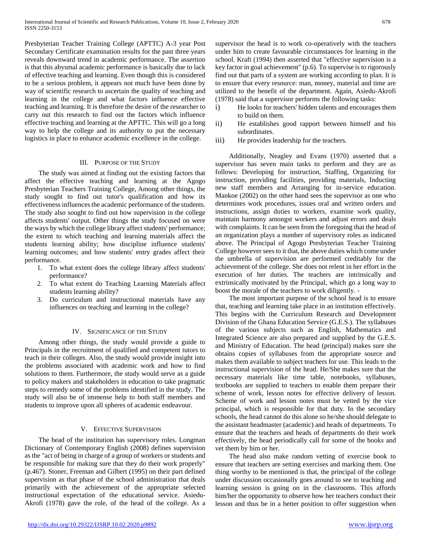Presbyterian Teacher Training College (APTTC) A-3 year Post Secondary Certificate examination results for the past three years reveals downward trend in academic performance. The assertion is that this abysmal academic performance is basically due to lack of effective teaching and learning. Even though this is considered to be a serious problem, it appears not much have been done by way of scientific research to ascertain the quality of teaching and learning in the college and what factors influence effective teaching and learning. It is therefore the desire of the researcher to carry out this research to find out the factors which influence effective teaching and learning at the APTTC. This will go a long way to help the college and its authority to put the necessary logistics in place to enhance academic excellence in the college.

## III. PURPOSE OF THE STUDY

 The study was aimed at finding out the existing factors that affect the effective teaching and learning at the Agogo Presbyterian Teachers Training College, Among other things, the study sought to find out tutor's qualification and how its effectiveness influences the academic performance of the students. The study also sought to find out how supervision in the college affects students' output. Other things the study focused on were the ways by which the college library affect students' performance; the extent to which teaching and learning materials affect the students learning ability; how discipline influence students' learning outcomes; and how students' entry grades affect their performance.

- 1. To what extent does the college library affect students' performance?
- 2. To what extent do Teaching Learning Materials affect students learning ability?
- 3. Do curriculum and instructional materials have any influences on teaching and learning in the college?

#### IV. SIGNIFICANCE OF THE STUDY

 Among other things, the study would provide a guide to Principals in the recruitment of qualified and competent tutors to teach in their colleges. Also, the study would provide insight into the problems associated with academic work and how to find solutions to them. Furthermore, the study would serve as a guide to policy makers and stakeholders in education to take pragmatic steps to remedy some of the problems identified in the study. The study will also be of immense help to both staff members and students to improve upon all spheres of academic endeavour.

## V. EFFECTIVE SUPERVISION

 The head of the institution has supervisory roles. Longman Dictionary of Contemporary English (2008) defines supervision as the "act of being in charge of a group of workers or students and be responsible for making sure that they do their work properly" (p.467). Stoner, Freeman and Gilbert (1995) on their part defined supervision as that phase of the school administration that deals primarily with the achievement of the appropriate selected instructional expectation of the educational service. Asiedu-Akrofi (1978) gave the role, of the head of the college. As a supervisor the head is to work co-operatively with the teachers under him to create favourable circumstances for learning in the school. Kraft (1994) then asserted that "effective supervision is a key factor in goal achievement" (p.6). To supervise is to rigorously find out that parts of a system are working according to plan. It is to ensure that every resource: man, money, material and time are utilized to the benefit of the department. Again, Asiedu-Akrofi (1978) said that a supervisor performs the following tasks:

- i) He looks for teachers' hidden talents and encourages them to build on them.
- ii) He establishes good rapport between himself and his subordinates.
- iii) He provides leadership for the teachers.

 Additionally, Neagley and Evans (1970) asserted that a supervisor has seven main tasks to perform and they are as follows: Developing for instruction, Staffing, Organizing for instruction, providing facilities, providing materials, Inducting new staff members and Arranging for in-service education. Mankoe (2002) on the other hand sees the supervisor as one who determines work procedures, issues oral and written orders and instructions, assign duties to workers, examine work quality, maintain harmony amongst workers and adjust errors and deals with complaints. It can be seen from the foregoing that the head of an organization plays a number of supervisory roles as indicated above. The Principal of Agogo Presbyterian Teacher Training College however sees to it that, the above duties which come under the umbrella of supervision are performed creditably for the achievement of the college. She does not relent in her effort in the execution of her duties. The teachers are intrinsically and extrinsically motivated by the Principal, which go a long way to boost the morale of the teachers to work diligently. -

 The most important purpose of the school head is to ensure that, teaching and learning take place in an institution effectively. This begins with the Curriculum Research and Development Division of the Ghana Education Service (G.E.S.). The syllabuses of the various subjects such as English, Mathematics and Integrated Science are also prepared and supplied by the G.E.S. and Ministry of Education. The head (principal) makes sure she obtains copies of syllabuses from the appropriate source and makes them available to subject teachers for use. This leads to the instructional supervision of the head. He/She makes sure that the necessary materials like time table, notebooks, syllabuses, textbooks are supplied to teachers to enable them prepare their scheme of work, lesson notes for effective delivery of lesson. Scheme of work and lesson notes must be vetted by the vice principal, which is responsible for that duty. In the secondary schools, the head cannot do this alone so he/she should delegate to the assistant headmaster (academic) and heads of departments. To ensure that the teachers and heads of departments do their work effectively, the head periodically call for some of the books and vet them by him or her.

 The head also make random vetting of exercise book to ensure that teachers are setting exercises and marking them. One thing worthy to be mentioned is that, the principal of the college under discussion occasionally goes around to see to teaching and learning session is going on in the classrooms. This affords him/her the opportunity to observe how her teachers conduct their lesson and thus be in a better position to offer suggestion when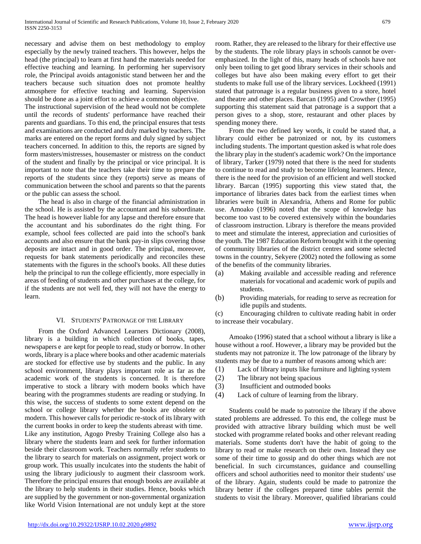necessary and advise them on best methodology to employ especially by the newly trained teachers. This however, helps the head (the principal) to learn at first hand the materials needed for effective teaching and learning. In performing her supervisory role, the Principal avoids antagonistic stand between her and the teachers because such situation does not promote healthy atmosphere for effective teaching and learning. Supervision should be done as a joint effort to achieve a common objective.

The instructional supervision of the head would not be complete until the records of students' performance have reached their parents and guardians. To this end, the principal ensures that tests and examinations are conducted and duly marked by teachers. The marks are entered on the report forms and duly signed by subject teachers concerned. In addition to this, the reports are signed by form masters/mistresses, housemaster or mistress on the conduct of the student and finally by the principal or vice principal. It is important to note that the teachers take their time to prepare the reports of the students since they (reports) serve as means of communication between the school and parents so that the parents or the public can assess the school.

 The head is also in charge of the financial administration in the school. He is assisted by the accountant and his subordinate. The head is however liable for any lapse and therefore ensure that the accountant and his subordinates do the right thing. For example, school fees collected are paid into the school's bank accounts and also ensure that the bank pay-in slips covering those deposits are intact and in good order. The principal, moreover, requests for bank statements periodically and reconciles these statements with the figures in the school's books. All these duties help the principal to run the college efficiently, more especially in areas of feeding of students and other purchases at the college, for if the students are not well fed, they will not have the energy to learn.

## VI. STUDENTS' PATRONAGE OF THE LIBRARY

 From the Oxford Advanced Learners Dictionary (2008), library is a building in which collection of books, tapes, newspapers e are kept for people to read, study or borrow. In other words, library is a place where books and other academic materials are stocked for effective use by students and the public. In any school environment, library plays important role as far as the academic work of the students is concerned. It is therefore imperative to stock a library with modern books which have bearing with the programmes students are reading or studying. In this wise, the success of students to some extent depend on the school or college library whether the books are obsolete or modern. This however calls for periodic re-stock of its library with the current books in order to keep the students abreast with time. Like any institution, Agogo Presby Training College also has a library where the students learn and seek for further information beside their classroom work. Teachers normally refer students to the library to search for materials on assignment, project work or group work. This usually inculcates into the students the habit of using the library judiciously to augment their classroom work. Therefore the principal ensures that enough books are available at the library to help students in their studies. Hence, books which are supplied by the government or non-governmental organization like World Vision International are not unduly kept at the store

room. Rather, they are released to the library for their effective use by the students. The role library plays in schools cannot be overemphasized. In the light of this, many heads of schools have not only been toiling to get good library services in their schools and colleges but have also been making every effort to get their students to make full use of the library services. Lockheed (1991) stated that patronage is a regular business given to a store, hotel and theatre and other places. Barcan (1995) and Crowther (1995) supporting this statement said that patronage is a support that a person gives to a shop, store, restaurant and other places by spending money there.

 From the two defined key words, it could be stated that, a library could either be patronized or not, by its customers including students. The important question asked is what role does the library play in the student's academic work? On the importance of library, Tarker (1979) noted that there is the need for students to continue to read and study to become lifelong learners. Hence, there is the need for the provision of an efficient and well stocked library. Barcan (1995) supporting this view stated that, the importance of libraries dates back from the earliest times when libraries were built in Alexandria, Athens and Rome for public use. Amoako (1996) noted that the scope of knowledge has become too vast to be covered extensively within the boundaries of classroom instruction. Library is therefore the means provided to meet and stimulate the interest, appreciation and curiosities of the youth. The 1987 Education Reform brought with it the opening of community libraries of the district centres and some selected towns in the country, Sekyere (2002) noted the following as some of the benefits of the community libraries.

- (a) Making available and accessible reading and reference materials for vocational and academic work of pupils and students.
- (b) Providing materials, for reading to serve as recreation for idle pupils and students.

(c) Encouraging children to cultivate reading habit in order to increase their vocabulary.

 Amoako (1996) stated that a school without a library is like a house without a roof. However, a library may be provided but the students may not patronize it. The low patronage of the library by students may be due to a number of reasons among which are:

- (1) Lack of library inputs like furniture and lighting system
- (2) The library not being spacious
- (3) Insufficient and outmoded books
- (4) Lack of culture of learning from the library.

 Students could be made to patronize the library if the above stated problems are addressed. To this end, the college must be provided with attractive library building which must be well stocked with programme related books and other relevant reading materials. Some students don't have the habit of going to the library to read or make research on their own. Instead they use some of their time to gossip and do other things which are not beneficial. In such circumstances, guidance and counselling officers and school authorities need to monitor their students' use of the library. Again, students could be made to patronize the library better if the colleges prepared time tables permit the students to visit the library. Moreover, qualified librarians could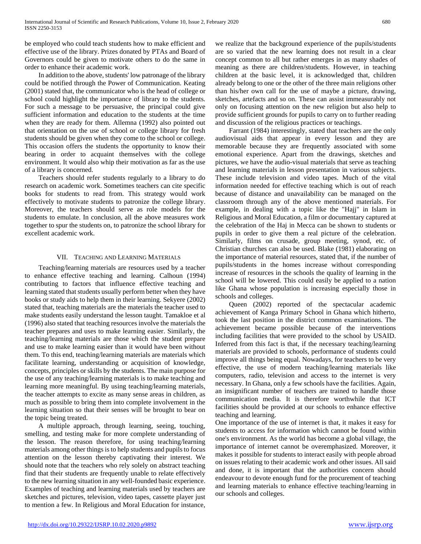be employed who could teach students how to make efficient and effective use of the library. Prizes donated by PTAs and Board of Governors could be given to motivate others to do the same in order to enhance their academic work.

 In addition to the above, students' low patronage of the library could be notified through the Power of Communication. Keating (2001) stated that, the communicator who is the head of college or school could highlight the importance of library to the students. For such a message to be persuasive, the principal could give sufficient information and education to the students at the time when they are ready for them. Allemna (1992) also pointed out that orientation on the use of school or college library for fresh students should be given when they come to the school or college. This occasion offers the students the opportunity to know their bearing in order to acquaint themselves with the college environment. It would also whip their motivation as far as the use of a library is concerned.

 Teachers should refer students regularly to a library to do research on academic work. Sometimes teachers can cite specific books for students to read from. This strategy would work effectively to motivate students to patronize the college library. Moreover, the teachers should serve as role models for the students to emulate. In conclusion, all the above measures work together to spur the students on, to patronize the school library for excellent academic work.

## VII. TEACHING AND LEARNING MATERIALS

 Teaching/learning materials are resources used by a teacher to enhance effective teaching and learning. Calhoun (1994) contributing to factors that influence effective teaching and learning stated that students usually perform better when they have books or study aids to help them in their learning. Sekyere (2002) stated that, teaching materials are the materials the teacher used to make students easily understand the lesson taught. Tamakloe et al (1996) also stated that teaching resources involve the materials the teacher prepares and uses to make learning easier. Similarly, the teaching/learning materials are those which the student prepare and use to make learning easier than it would have been without them. To this end, teaching/learning materials are materials which facilitate learning, understanding or acquisition of knowledge, concepts, principles or skills by the students. The main purpose for the use of any teaching/learning materials is to make teaching and learning more meaningful. By using teaching/learning materials, the teacher attempts to excite as many sense areas in children, as much as possible to bring them into complete involvement in the learning situation so that their senses will be brought to bear on the topic being treated.

 A multiple approach, through learning, seeing, touching, smelling, and testing make for more complete understanding of the lesson. The reason therefore, for using teaching/learning materials among other things is to help students and pupils to focus attention on the lesson thereby captivating their interest. We should note that the teachers who rely solely on abstract teaching find that their students are frequently unable to relate effectively to the new learning situation in any well-founded basic experience. Examples of teaching and learning materials used by teachers are sketches and pictures, television, video tapes, cassette player just to mention a few. In Religious and Moral Education for instance,

we realize that the background experience of the pupils/students are so varied that the new learning does not result in a clear concept common to all but rather emerges in as many shades of meaning as there are children/students. However, in teaching children at the basic level, it is acknowledged that, children already belong to one or the other of the three main religions other than his/her own call for the use of maybe a picture, drawing, sketches, artefacts and so on. These can assist immeasurably not only on focusing attention on the new religion but also help to provide sufficient grounds for pupils to carry on to further reading and discussion of the religious practices or teachings.

 Farrant (1984) interestingly, stated that teachers are the only audiovisual aids that appear in every lesson and they are memorable because they are frequently associated with some emotional experience. Apart from the drawings, sketches and pictures, we have the audio-visual materials that serve as teaching and learning materials in lesson presentation in various subjects. These include television and video tapes. Much of the vital information needed for effective teaching which is out of reach because of distance and unavailability can be managed on the classroom through any of the above mentioned materials. For example, in dealing with a topic like the "Hajj" in Islam in Religious and Moral Education, a film or documentary captured at the celebration of the Haj in Mecca can be shown to students or pupils in order to give them a real picture of the celebration. Similarly, films on crusade, group meeting, synod, etc. of Christian churches can also be used. Blake (1981) elaborating on the importance of material resources, stated that, if the number of pupils/students in the homes increase without corresponding increase of resources in the schools the quality of learning in the school will be lowered. This could easily be applied to a nation like Ghana whose population is increasing especially those in schools and colleges.

 Queen (2002) reported of the spectacular academic achievement of Kanga Primary School in Ghana which hitherto, took the last position in the district common examinations. The achievement became possible because of the interventions including facilities that were provided to the school by USAID. Inferred from this fact is that, if the necessary teaching/learning materials are provided to schools, performance of students could improve all things being equal. Nowadays, for teachers to be very effective, the use of modern teaching/learning materials like computers, radio, television and access to the internet is very necessary. In Ghana, only a few schools have the facilities. Again, an insignificant number of teachers are trained to handle those communication media. It is therefore worthwhile that ICT facilities should be provided at our schools to enhance effective teaching and learning.

One importance of the use of internet is that, it makes it easy for students to access for information which cannot be found within one's environment. As the world has become a global village, the importance of internet cannot be overemphasized. Moreover, it makes it possible for students to interact easily with people abroad on issues relating to their academic work and other issues. All said and done, it is important that the authorities concern should endeavour to devote enough fund for the procurement of teaching and learning materials to enhance effective teaching/learning in our schools and colleges.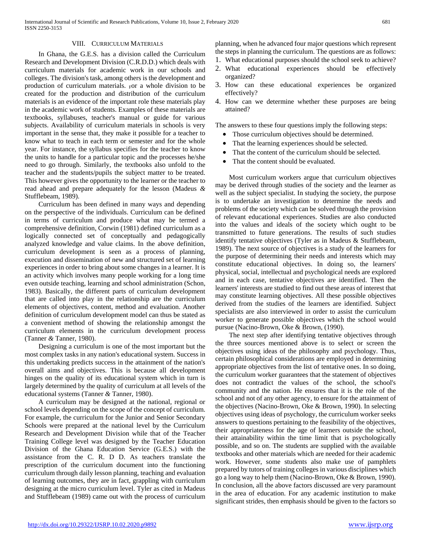## VIII. CURRICULUM MATERIALS

 In Ghana, the G.E.S. has a division called the Curriculum Research and Development Division (C.R.D.D.) which deals with curriculum materials for academic work in our schools and colleges. The division's task, among others is the development and production of curriculum materials. For a whole division to be created for the production and distribution of the curriculum materials is an evidence of the important role these materials play in the academic work of students. Examples of these materials are textbooks, syllabuses, teacher's manual or guide for various subjects. Availability of curriculum materials in schools is very important in the sense that, they make it possible for a teacher to know what to teach in each term or semester and for the whole year. For instance, the syllabus specifies for the teacher to know the units to handle for a particular topic and the processes he/she need to go through. Similarly, the textbooks also unfold to the teacher and the students/pupils the subject matter to be treated. This however gives the opportunity to the learner or the teacher to read ahead and prepare adequately for the lesson (Madeus *&*  Stufflebeam, 1989).

 Curriculum has been defined in many ways and depending on the perspective of the individuals. Curriculum can be defined in terms of curriculum and produce what may be termed a comprehensive definition, Corwin (1981) defined curriculum as a logically connected set of conceptually and pedagogically analyzed knowledge and value claims. In the above definition, curriculum development is seen as a process of planning, execution and dissemination of new and structured set of learning experiences in order to bring about some changes in a learner. It is an activity which involves many people working for a long time even outside teaching, learning and school administration (Schon, 1983). Basically, the different parts of curriculum development that are called into play in the relationship are the curriculum elements of objectives, content, method and evaluation. Another definition of curriculum development model can thus be stated as a convenient method of showing the relationship amongst the curriculum elements in the curriculum development process (Tanner *&* Tanner, 1980).

 Designing a curriculum is one of the most important but the most complex tasks in any nation's educational system. Success in this undertaking predicts success in the attainment of the nation's overall aims and objectives. This is because all development hinges on the quality of its educational system which in turn is largely determined by the quality of curriculum at all levels of the educational systems (Tanner *&* Tanner, 1980).

 A curriculum may be designed at the national, regional or school levels depending on the scope of the concept of curriculum. For example, the curriculum for the Junior and Senior Secondary Schools were prepared at the national level by the Curriculum Research and Development Division while that of the Teacher Training College level was designed by the Teacher Education Division of the Ghana Education Service (G.E.S.) with the assistance from the C. R. D D. As teachers translate the prescription of the curriculum document into the functioning curriculum through daily lesson planning, teaching and evaluation of learning outcomes, they are in fact, grappling with curriculum designing at the micro curriculum level. Tyler as cited in Madeus and Stufflebeam (1989) came out with the process of curriculum

planning, when he advanced four major questions which represent the steps in planning the curriculum. The questions are as follows:

- 1. What educational purposes should the school seek to achieve?
- 2. What educational experiences should be effectively organized?
- 3. How can these educational experiences be organized effectively?
- 4. How can we determine whether these purposes are being attained?

The answers to these four questions imply the following steps:

- Those curriculum objectives should be determined.
- That the learning experiences should be selected.
- That the content of the curriculum should be selected.
- That the content should be evaluated.

 Most curriculum workers argue that curriculum objectives may be derived through studies of the society and the learner as well as the subject specialist. In studying the society, the purpose is to undertake an investigation to determine the needs and problems of the society which can be solved through the provision of relevant educational experiences. Studies are also conducted into the values and ideals of the society which ought to be transmitted to future generations. The results of such studies identify tentative objectives (Tyler as in Madeus & Stufflebeam, 1989). The next source of objectives is a study of the learners for the purpose of determining their needs and interests which may constitute educational objectives. In doing so, the learners' physical, social, intellectual and psychological needs are explored and in each case, tentative objectives are identified. Then the learners' interests are studied to find out these areas of interest that may constitute learning objectives. All these possible objectives derived from the studies of the learners are identified. Subject specialists are also interviewed in order to assist the curriculum worker to generate possible objectives which the school would pursue (Nacino-Brown, Oke & Brown, (1990).

 The next step after identifying tentative objectives through the three sources mentioned above is to select or screen the objectives using ideas of the philosophy and psychology. Thus, certain philosophical considerations are employed in determining appropriate objectives from the list of tentative ones. In so doing, the curriculum worker guarantees that the statement of objectives does not contradict the values of the school, the school's community and the nation. He ensures that it is the role of the school and not of any other agency, to ensure for the attainment of the objectives (Nacino-Brown, Oke & Brown, 1990). In selecting objectives using ideas of psychology, the curriculum worker seeks answers to questions pertaining to the feasibility of the objectives, their appropriateness for the age of learners outside the school, their attainability within the time limit that is psychologically possible, and so on. The students are supplied with the available textbooks and other materials which are needed for their academic work. However, some students also make use of pamphlets prepared by tutors of training colleges in various disciplines which go a long way to help them (Nacino-Brown, Oke & Brown, 1990). In conclusion, all the above factors discussed are very paramount in the area of education. For any academic institution to make significant strides, then emphasis should be given to the factors so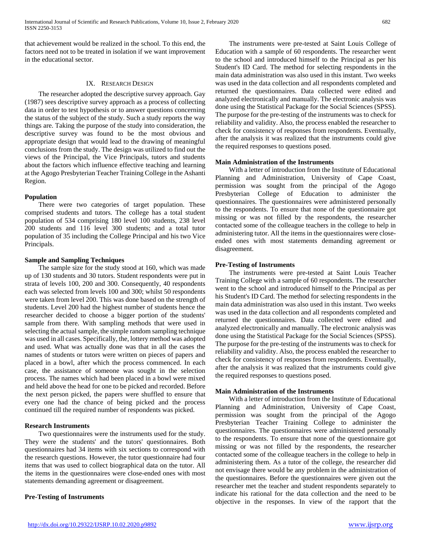that achievement would be realized in the school. To this end, the factors need not to be treated in isolation if we want improvement in the educational sector.

# IX. RESEARCH DESIGN

 The researcher adopted the descriptive survey approach. Gay (1987) sees descriptive survey approach as a process of collecting data in order to test hypothesis or to answer questions concerning the status of the subject of the study. Such a study reports the way things are. Taking the purpose of the study into consideration, the descriptive survey was found to be the most obvious and appropriate design that would lead to the drawing of meaningful conclusions from the study. The design was utilized to find out the views of the Principal, the Vice Principals, tutors and students about the factors which influence effective teaching and learning at the Agogo Presbyterian Teacher Training College in the Ashanti Region.

# **Population**

 There were two categories of target population. These comprised students and tutors. The college has a total student population of 534 comprising 180 level 100 students, 238 level 200 students and 116 level 300 students; and a total tutor population of 35 including the College Principal and his two Vice Principals.

## **Sample and Sampling Techniques**

 The sample size for the study stood at 160, which was made up of 130 students and 30 tutors. Student respondents were put in strata of levels 100, 200 and 300. Consequently, 40 respondents each was selected from levels 100 and 300; whilst 50 respondents were taken from level 200. This was done based on the strength of students. Level 200 had the highest number of students hence the researcher decided to choose a bigger portion of the students' sample from there. With sampling methods that were used in selecting the actual sample, the simple random sampling technique was used in all cases. Specifically, the, lottery method was adopted and used. What was actually done was that in all the cases the names of students or tutors were written on pieces of papers and placed in a bowl, after which the process commenced. In each case, the assistance of someone was sought in the selection process. The names which had been placed in a bowl were mixed and held above the head for one to be picked and recorded. Before the next person picked, the papers were shuffled to ensure that every one had the chance of being picked and the process continued till the required number of respondents was picked.

# **Research Instruments**

 Two questionnaires were the instruments used for the study. They were the students' and the tutors' questionnaires. Both questionnaires had 34 items with six sections to correspond with the research questions. However, the tutor questionnaire had four items that was used to collect biographical data on the tutor. All the items in the questionnaires were close-ended ones with most statements demanding agreement or disagreement.

## **Pre-Testing of Instruments**

 The instruments were pre-tested at Saint Louis College of Education with a sample of 60 respondents. The researcher went to the school and introduced himself to the Principal as per his Student's ID Card. The method for selecting respondents in the main data administration was also used in this instant. Two weeks was used in the data collection and all respondents completed and returned the questionnaires. Data collected were edited and analyzed electronically and manually. The electronic analysis was done using the Statistical Package for the Social Sciences (SPSS). The purpose for the pre-testing of the instruments was to check for reliability and validity. Also, the process enabled the researcher to check for consistency of responses from respondents. Eventually, after the analysis it was realized that the instruments could give the required responses to questions posed.

## **Main Administration of the Instruments**

 With a letter of introduction from the Institute of Educational Planning and Administration, University of Cape Coast, permission was sought from the principal of the Agogo Presbyterian College of Education to administer the questionnaires. The questionnaires were administered personally to the respondents. To ensure that none of the questionnaire got missing or was not filled by the respondents, the researcher contacted some of the colleague teachers in the college to help in administering tutor. All the items in the questionnaires were closeended ones with most statements demanding agreement or disagreement.

# **Pre-Testing of Instruments**

 The instruments were pre-tested at Saint Louis Teacher Training College with a sample of 60 respondents. The researcher went to the school and introduced himself to the Principal as per his Student's ID Card. The method for selecting respondents in the main data administration was also used in this instant. Two weeks was used in the data collection and all respondents completed and returned the questionnaires. Data collected were edited and analyzed electronically and manually. The electronic analysis was done using the Statistical Package for the Social Sciences (SPSS). The purpose for the pre-testing of the instruments was to check for reliability and validity. Also, the process enabled the researcher to check for consistency of responses from respondents. Eventually, after the analysis it was realized that the instruments could give the required responses to questions posed.

# **Main Administration of the Instruments**

 With a letter of introduction from the Institute of Educational Planning and Administration, University of Cape Coast, permission was sought from the principal of the Agogo Presbyterian Teacher Training College to administer the questionnaires. The questionnaires were administered personally to the respondents. To ensure that none of the questionnaire got missing or was not filled by the respondents, the researcher contacted some of the colleague teachers in the college to help in administering them. As a tutor of the college, the researcher did not envisage there would be any problem in the administration of the questionnaires. Before the questionnaires were given out the researcher met the teacher and student respondents separately to indicate his rational for the data collection and the need to be objective in the responses. In view of the rapport that the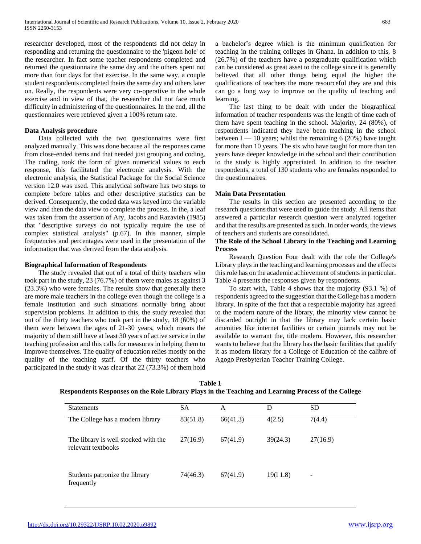researcher developed, most of the respondents did not delay in responding and returning the questionnaire to the 'pigeon hole' of the researcher. In fact some teacher respondents completed and returned the questionnaire the same day and the others spent not more than four days for that exercise. In the same way, a couple student respondents completed theirs the same day and others later on. Really, the respondents were very co-operative in the whole exercise and in view of that, the researcher did not face much difficulty in administering of the questionnaires. In the end, all the questionnaires were retrieved given a 100% return rate.

## **Data Analysis procedure**

 Data collected with the two questionnaires were first analyzed manually. This was done because all the responses came from close-ended items and that needed just grouping and coding. The coding, took the form of given numerical values to each response, this facilitated the electronic analysis. With the electronic analysis, the Statistical Package for the Social Science version 12.0 was used. This analytical software has two steps to complete before tables and other descriptive statistics can be derived. Consequently, the coded data was keyed into the variable view and then the data view to complete the process. In the, a leaf was taken from the assertion of Ary, Jacobs and Razavieh (1985) that "descriptive surveys do not typically require the use of complex statistical analysis" (p.67). In this manner, simple frequencies and percentages were used in the presentation of the information that was derived from the data analysis.

## **Biographical Information of Respondents**

 The study revealed that out of a total of thirty teachers who took part in the study, 23 (76.7%) of them were males as against 3 (23.3%) who were females. The results show that generally there are more male teachers in the college even though the college is a female institution and such situations normally bring about supervision problems. In addition to this, the study revealed that out of the thirty teachers who took part in the study, 18 (60%) of them were between the ages of 21-30 years, which means the majority of them still have at least 30 years of active service in the teaching profession and this calls for measures in helping them to improve themselves. The quality of education relies mostly on the quality of the teaching staff. Of the thirty teachers who participated in the study it was clear that 22 (73.3%) of them hold a bachelor's degree which is the minimum qualification for teaching in the training colleges in Ghana. In addition to this, 8 (26.7%) of the teachers have a postgraduate qualification which can be considered as great asset to the college since it is generally believed that all other things being equal the higher the qualifications of teachers the more resourceful they are and this can go a long way to improve on the quality of teaching and learning.

 The last thing to be dealt with under the biographical information of teacher respondents was the length of time each of them have spent teaching in the school. Majority, 24 (80%), of respondents indicated they have been teaching in the school between  $I - 10$  years; whilst the remaining 6 (20%) have taught for more than 10 years. The six who have taught for more than ten years have deeper knowledge in the school and their contribution to the study is highly appreciated. In addition to the teacher respondents, a total of 130 students who are females responded to the questionnaires.

## **Main Data Presentation**

 The results in this section are presented according to the research questions that were used to guide the study. All items that answered a particular research question were analyzed together and that the results are presented as such. In order words, the views of teachers and students are consolidated.

### **The Role of the School Library in the Teaching and Learning Process**

 Research Question Four dealt with the role the College's Library plays in the teaching and learning processes and the effects this role has on the academic achievement of students in particular. Table 4 presents the responses given by respondents.

 To start with, Table 4 shows that the majority (93.1 %) of respondents agreed to the suggestion that the College has a modern library. In spite of the fact that a respectable majority has agreed to the modern nature of the library, the minority view cannot be discarded outright in that the library may lack certain basic amenities like internet facilities or certain journals may not be available to warrant the, title modern. However, this researcher wants to believe that the library has the basic facilities that qualify it as modern library for a College of Education of the calibre of Agogo Presbyterian Teacher Training College.

| <b>Statements</b>                                          | <b>SA</b> | A        | D        | <b>SD</b> |
|------------------------------------------------------------|-----------|----------|----------|-----------|
| The College has a modern library                           | 83(51.8)  | 66(41.3) | 4(2.5)   | 7(4.4)    |
| The library is well stocked with the<br>relevant textbooks | 27(16.9)  | 67(41.9) | 39(24.3) | 27(16.9)  |
| Students patronize the library<br>frequently               | 74(46.3)  | 67(41.9) | 19(11.8) | -         |

**Table 1 Respondents Responses on the Role Library Plays in the Teaching and Learning Process of the College**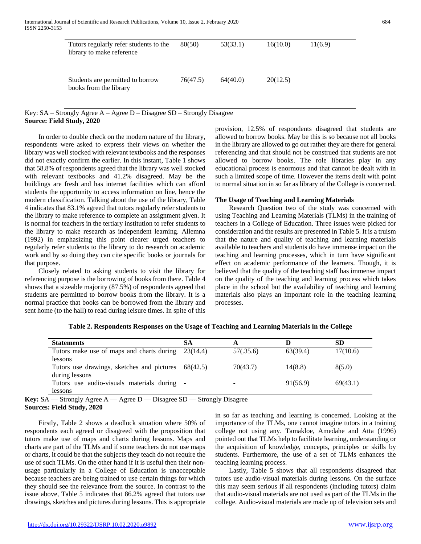| Tutors regularly refer students to the<br>library to make reference | 80(50)   | 53(33.1) | 16(10.0) | 11(6.9) |
|---------------------------------------------------------------------|----------|----------|----------|---------|
| Students are permitted to borrow<br>books from the library          | 76(47.5) | 64(40.0) | 20(12.5) |         |

# Key: SA – Strongly Agree A – Agree D – Disagree SD – Strongly Disagree **Source: Field Study, 2020**

 In order to double check on the modern nature of the library, respondents were asked to express their views on whether the library was well stocked with relevant textbooks and the responses did not exactly confirm the earlier. In this instant, Table 1 shows that 58.8% of respondents agreed that the library was well stocked with relevant textbooks and 41.2% disagreed. May be the buildings are fresh and has internet facilities which can afford students the opportunity to access information on line, hence the modern classification. Talking about the use of the library, Table 4 indicates that 83.1% agreed that tutors regularly refer students to the library to make reference to complete an assignment given. It is normal for teachers in the tertiary institution to refer students to the library to make research as independent learning. Allemna (1992) in emphasizing this point clearer urged teachers to regularly refer students to the library to do research on academic work and by so doing they can cite specific books or journals for that purpose.

 Closely related to asking students to visit the library for referencing purpose is the borrowing of books from there. Table 4 shows that a sizeable majority (87.5%) of respondents agreed that students are permitted to borrow books from the library. It is a normal practice that books can be borrowed from the library and sent home (to the hall) to read during leisure times. In spite of this

provision, 12.5% of respondents disagreed that students are allowed to borrow books. May be this is so because not all books in the library are allowed to go out rather they are there for general referencing and that should not be construed that students are not allowed to borrow books. The role libraries play in any educational process is enormous and that cannot be dealt with in such a limited scope of time. However the items dealt with point to normal situation in so far as library of the College is concerned.

#### **The Usage of Teaching and Learning Materials**

 Research Question two of the study was concerned with using Teaching and Learning Materials (TLMs) in the training of teachers in a College of Education. Three issues were picked for consideration and the results are presented in Table 5. It is a truism that the nature and quality of teaching and learning materials available to teachers and students do have immense impact on the teaching and learning processes, which in turn have significant effect on academic performance of the learners. Though, it is believed that the quality of the teaching staff has immense impact on the quality of the teaching and learning process which takes place in the school but the availability of teaching and learning materials also plays an important role in the teaching learning processes.

| <b>Statements</b>                                   | SА |                          |          | SD       |
|-----------------------------------------------------|----|--------------------------|----------|----------|
| Tutors make use of maps and charts during 23(14.4)  |    | 57(.35.6)                | 63(39.4) | 17(10.6) |
| lessons                                             |    |                          |          |          |
| Tutors use drawings, sketches and pictures 68(42.5) |    | 70(43.7)                 | 14(8.8)  | 8(5.0)   |
| during lessons                                      |    |                          |          |          |
| Tutors use audio-visuals materials during -         |    | $\overline{\phantom{0}}$ | 91(56.9) | 69(43.1) |
| lessons                                             |    |                          |          |          |

**Table 2. Respondents Responses on the Usage of Teaching and Learning Materials in the College**

**Key:** SA — Strongly Agree A — Agree D — Disagree SD — Strongly Disagree **Sources: Field Study, 2020**

 Firstly, Table 2 shows a deadlock situation where 50% of respondents each agreed or disagreed with the proposition that tutors make use of maps and charts during lessons. Maps and charts are part of the TLMs and if some teachers do not use maps or charts, it could be that the subjects they teach do not require the use of such TLMs. On the other hand if it is useful then their nonusage particularly in a College of Education is unacceptable because teachers are being trained to use certain things for which they should see the relevance from the source. In contrast to the issue above, Table 5 indicates that 86.2% agreed that tutors use drawings, sketches and pictures during lessons. This is appropriate

in so far as teaching and learning is concerned. Looking at the importance of the TLMs, one cannot imagine tutors in a training college not using any. Tamakloe, Amedahe and Atta (1996) pointed out that TLMs help to facilitate learning, understanding or the acquisition of knowledge, concepts, principles or skills by students. Furthermore, the use of a set of TLMs enhances the teaching learning process.

 Lastly, Table 5 shows that all respondents disagreed that tutors use audio-visual materials during lessons. On the surface this may seem serious if all respondents (including tutors) claim that audio-visual materials are not used as part of the TLMs in the college. Audio-visual materials are made up of television sets and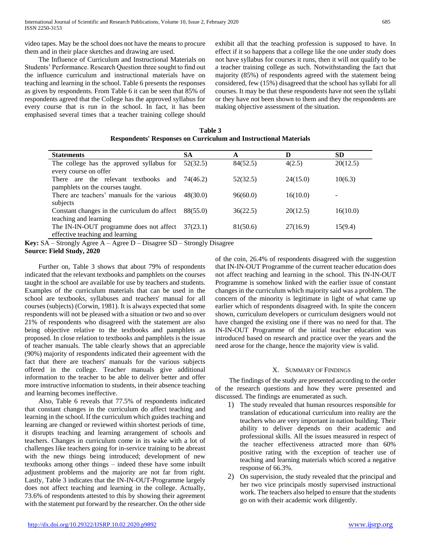video tapes. May be the school does not have the means to procure them and in their place sketches and drawing are used.

 The Influence of Curriculum and Instructional Materials on Students' Performance. Research Question three sought to find out the influence curriculum and instructional materials have on teaching and learning in the school. Table 6 presents the responses as given by respondents. From Table 6 it can be seen that 85% of respondents agreed that the College has the approved syllabus for every course that is run in the school. In fact, it has been emphasised several times that a teacher training college should exhibit all that the teaching profession is supposed to have. In effect if it so happens that a college like the one under study does not have syllabus for courses it runs, then it will not qualify to be a teacher training college as such. Notwithstanding the fact that majority (85%) of respondents agreed with the statement being considered, few (15%) disagreed that the school has syllabi for all courses. It may be that these respondents have not seen the syllabi or they have not been shown to them and they the respondents are making objective assessment of the situation.

|  | Table 3 |                                                                         |  |
|--|---------|-------------------------------------------------------------------------|--|
|  |         | <b>Respondents' Responses on Curriculum and Instructional Materials</b> |  |

| <b>Statements</b>                                                                     | SА       | Α        | D        | SD.             |
|---------------------------------------------------------------------------------------|----------|----------|----------|-----------------|
| The college has the approved syllabus for<br>every course on offer                    | 52(32.5) | 84(52.5) | 4(2.5)   | 20(12.5)        |
| There are the relevant textbooks and<br>pamphlets on the courses taught.              | 74(46.2) | 52(32.5) | 24(15.0) | 10(6.3)         |
| There are teachers' manuals for the various<br>subjects                               | 48(30.0) | 96(60.0) | 16(10.0) | $\qquad \qquad$ |
| Constant changes in the curriculum do affect<br>teaching and learning                 | 88(55.0) | 36(22.5) | 20(12.5) | 16(10.0)        |
| The IN-IN-OUT programme does not affect $37(23.1)$<br>effective teaching and learning |          | 81(50.6) | 27(16.9) | 15(9.4)         |

**Key:** SA – Strongly Agree A – Agree D – Disagree SD – Strongly Disagree **Source: Field Study, 2020**

 Further on, Table 3 shows that about 79% of respondents indicated that the relevant textbooks and pamphlets on the courses taught in the school are available for use by teachers and students. Examples of the curriculum materials that can be used in the school are textbooks, syllabuses and teachers' manual for all courses (subjects) (Corwin, 1981). It is always expected that some respondents will not be pleased with a situation or two and so over 21% of respondents who disagreed with the statement are also being objective relative to the textbooks and pamphlets as proposed. In close relation to textbooks and pamphlets is the issue of teacher manuals. The table clearly shows that an appreciable (90%) majority of respondents indicated their agreement with the fact that there are teachers' manuals for the various subjects offered in the college. Teacher manuals give additional information to the teacher to be able to deliver better and offer more instructive information to students, in their absence teaching and learning becomes ineffective.

 Also, Table 6 reveals that 77.5% of respondents indicated that constant changes in the curriculum do affect teaching and learning in the school. If the curriculum which guides teaching and learning are changed or reviewed within shortest periods of time, it disrupts teaching and learning arrangement of schools and teachers. Changes in curriculum come in its wake with a lot of challenges like teachers going for in-service training to be abreast with the new things being introduced; development of new textbooks among other things – indeed these have some inbuilt adjustment problems and the majority are not far from right. Lastly, Table 3 indicates that the IN-IN-OUT-Programme largely does not affect teaching and learning in the college. Actually, 73.6% of respondents attested to this by showing their agreement with the statement put forward by the researcher. On the other side of the coin, 26.4% of respondents disagreed with the suggestion that IN-IN-OUT Programme of the current teacher education does not affect teaching and learning in the school. This IN-IN-OUT Programme is somehow linked with the earlier issue of constant changes in the curriculum which majority said was a problem. The concern of the minority is legitimate in light of what came up earlier which of respondents disagreed with. In spite the concern shown, curriculum developers or curriculum designers would not have changed the existing one if there was no need for that. The IN-IN-OUT Programme of the initial teacher education was introduced based on research and practice over the years and the need arose for the change, hence the majority view is valid.

## X. SUMMARY OF FINDINGS

 The findings of the study are presented according to the order of the research questions and how they were presented and discussed. The findings are enumerated as such.

- 1) The study revealed that human resources responsible for translation of educational curriculum into reality are the teachers who are very important in nation building. Their ability to deliver depends on their academic and professional skills. All the issues measured in respect of the teacher effectiveness attracted more than 60% positive rating with the exception of teacher use of teaching and learning materials which scored a negative response of 66.3%.
- 2) On supervision, the study revealed that the principal and her two vice principals mostly supervised instructional work. The teachers also helped to ensure that the students go on with their academic work diligently.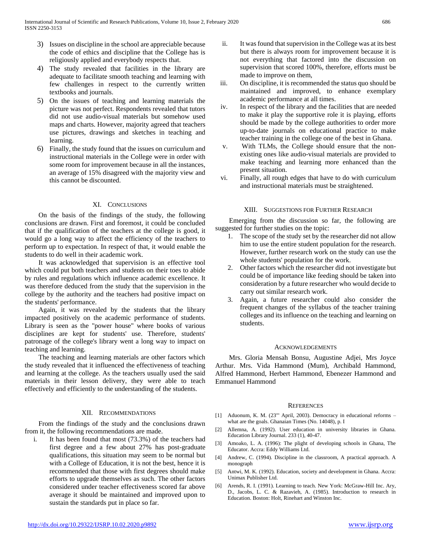- 3) Issues on discipline in the school are appreciable because the code of ethics and discipline that the College has is religiously applied and everybody respects that.
- 4) The study revealed that facilities in the library are adequate to facilitate smooth teaching and learning with few challenges in respect to the currently written textbooks and journals.
- 5) On the issues of teaching and learning materials the picture was not perfect. Respondents revealed that tutors did not use audio-visual materials but somehow used maps and charts. However, majority agreed that teachers use pictures, drawings and sketches in teaching and learning.
- 6) Finally, the study found that the issues on curriculum and instructional materials in the College were in order with some room for improvement because in all the instances, an average of 15% disagreed with the majority view and this cannot be discounted.

# XI. CONCLUSIONS

 On the basis of the findings of the study, the following conclusions are drawn. First and foremost, it could be concluded that if the qualification of the teachers at the college is good, it would go a long way to affect the efficiency of the teachers to perform up to expectation. In respect of that, it would enable the students to do well in their academic work.

 It was acknowledged that supervision is an effective tool which could put both teachers and students on their toes to abide by rules and regulations which influence academic excellence. It was therefore deduced from the study that the supervision in the college by the authority and the teachers had positive impact on the students' performance.

 Again, it was revealed by the students that the library impacted positively on the academic performance of students. Library is seen as the "power house" where books of various disciplines are kept for students' use. Therefore, students' patronage of the college's library went a long way to impact on teaching and learning.

 The teaching and learning materials are other factors which the study revealed that it influenced the effectiveness of teaching and learning at the college. As the teachers usually used the said materials in their lesson delivery, they were able to teach effectively and efficiently to the understanding of the students.

## XII. RECOMMENDATIONS

 From the findings of the study and the conclusions drawn from it, the following recommendations are made.

i. It has been found that most (73.3%) of the teachers had first degree and a few about 27% has post-graduate qualifications, this situation may seem to be normal but with a College of Education, it is not the best, hence it is recommended that those with first degrees should make efforts to upgrade themselves as such. The other factors considered under teacher effectiveness scored far above average it should be maintained and improved upon to sustain the standards put in place so far.

- ii. It was found that supervision in the College was at its best but there is always room for improvement because it is not everything that factored into the discussion on supervision that scored 100%, therefore, efforts must be made to improve on them,
- iii. On discipline, it is recommended the status quo should be maintained and improved, to enhance exemplary academic performance at all times.
- iv. In respect of the library and the facilities that are needed to make it play the supportive role it is playing, efforts should be made by the college authorities to order more up-to-date journals on educational practice to make teacher training in the college one of the best in Ghana.
- v. With TLMs, the College should ensure that the nonexisting ones like audio-visual materials are provided to make teaching and learning more enhanced than the present situation.
- vi. Finally, all rough edges that have to do with curriculum and instructional materials must be straightened.

# XIII. SUGGESTIONS FOR FURTHER RESEARCH

 Emerging from the discussion so far, the following are suggested for further studies on the topic:

- 1. The scope of the study set by the researcher did not allow him to use the entire student population for the research. However, further research work on the study can use the whole students' population for the work.
- 2. Other factors which the researcher did not investigate but could be of importance like feeding should be taken into consideration by a future researcher who would decide to carry out similar research work.
- 3. Again, a future researcher could also consider the frequent changes of the syllabus of the teacher training colleges and its influence on the teaching and learning on students.

#### ACKNOWLEDGEMENTS

 Mrs. Gloria Mensah Bonsu, Augustine Adjei, Mrs Joyce Arthur. Mrs. Vida Hammond (Mum), Archibald Hammond, Alfred Hammond, Herbert Hammond, Ebenezer Hammond and Emmanuel Hammond

#### **REFERENCES**

- [1] Aduonum, K. M. (23"' April, 2003). Democracy in educational reforms what are the goals. Ghanaian Times (No. 14048), p. I
- [2] Allemna, A. (1992). User education in university libraries in Ghana. Education Library Journal. 233 (1), 40-47.
- [3] Amoako, L. A. (1996): The plight of developing schools in Ghana, The Educator. Accra: Eddy Williams Ltd.
- [4] Andrew, C. (1994). Discipline in the classroom, A practical approach. A monograph
- [5] Antwi, M. K. (1992). Education, society and development in Ghana. Accra: Unimax Publisher Ltd.
- [6] Arends, R. I. (1991). Learning to teach. New York: McGraw-Hill Inc. Ary, D., Jacobs, L. C. & Razavieh, A. (1985). Introduction to research in Education. Boston: Holt, Rinehart and Winston Inc.